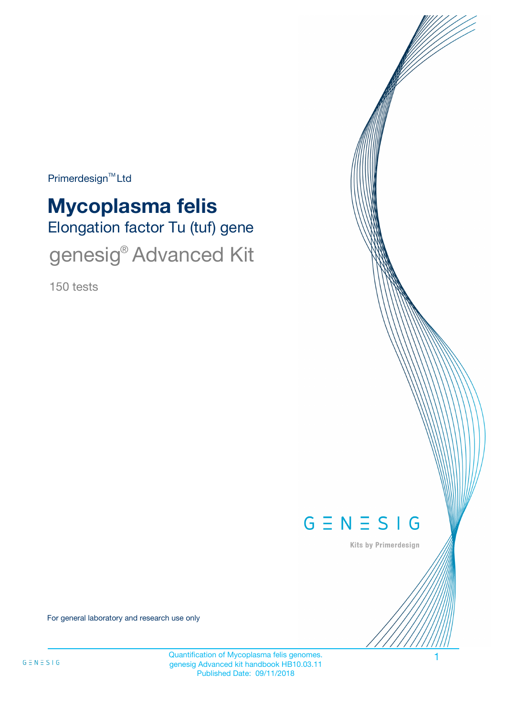Primerdesign<sup>™</sup>Ltd

# Elongation factor Tu (tuf) gene **Mycoplasma felis** genesig® Advanced Kit

150 tests



Kits by Primerdesign

For general laboratory and research use only

Quantification of Mycoplasma felis genomes. 1 genesig Advanced kit handbook HB10.03.11 Published Date: 09/11/2018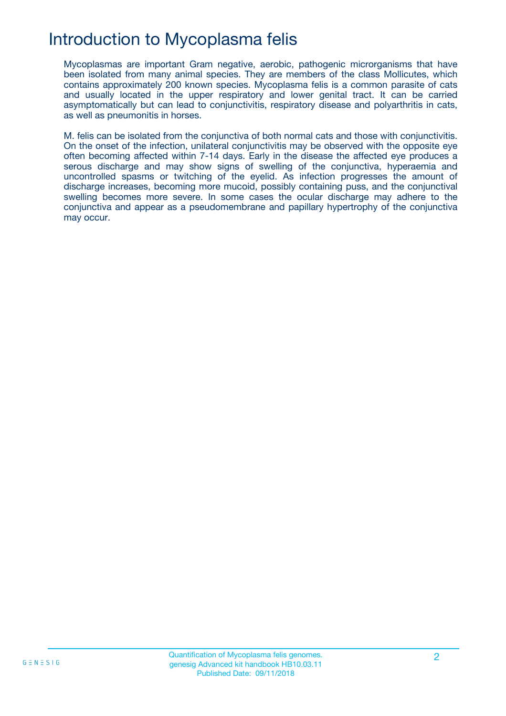### Introduction to Mycoplasma felis

Mycoplasmas are important Gram negative, aerobic, pathogenic microrganisms that have been isolated from many animal species. They are members of the class Mollicutes, which contains approximately 200 known species. Mycoplasma felis is a common parasite of cats and usually located in the upper respiratory and lower genital tract. It can be carried asymptomatically but can lead to conjunctivitis, respiratory disease and polyarthritis in cats, as well as pneumonitis in horses.

M. felis can be isolated from the conjunctiva of both normal cats and those with conjunctivitis. On the onset of the infection, unilateral conjunctivitis may be observed with the opposite eye often becoming affected within 7-14 days. Early in the disease the affected eye produces a serous discharge and may show signs of swelling of the conjunctiva, hyperaemia and uncontrolled spasms or twitching of the eyelid. As infection progresses the amount of discharge increases, becoming more mucoid, possibly containing puss, and the conjunctival swelling becomes more severe. In some cases the ocular discharge may adhere to the conjunctiva and appear as a pseudomembrane and papillary hypertrophy of the conjunctiva may occur.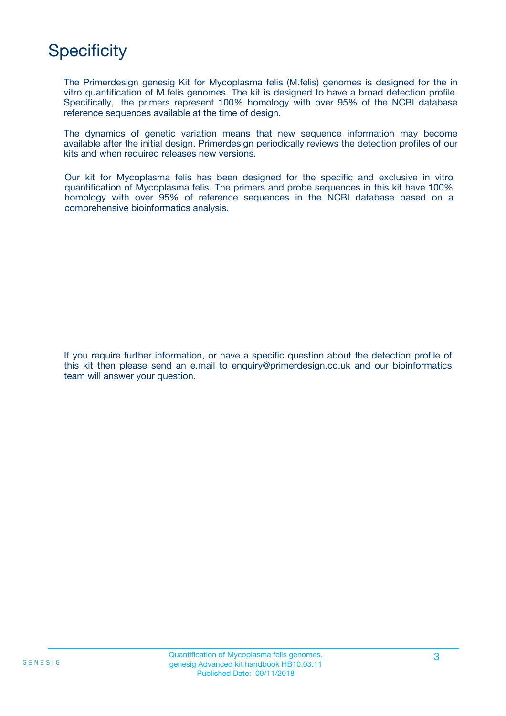# **Specificity**

The Primerdesign genesig Kit for Mycoplasma felis (M.felis) genomes is designed for the in vitro quantification of M.felis genomes. The kit is designed to have a broad detection profile. Specifically, the primers represent 100% homology with over 95% of the NCBI database reference sequences available at the time of design.

The dynamics of genetic variation means that new sequence information may become available after the initial design. Primerdesign periodically reviews the detection profiles of our kits and when required releases new versions.

Our kit for Mycoplasma felis has been designed for the specific and exclusive in vitro quantification of Mycoplasma felis. The primers and probe sequences in this kit have 100% homology with over 95% of reference sequences in the NCBI database based on a comprehensive bioinformatics analysis.

If you require further information, or have a specific question about the detection profile of this kit then please send an e.mail to enquiry@primerdesign.co.uk and our bioinformatics team will answer your question.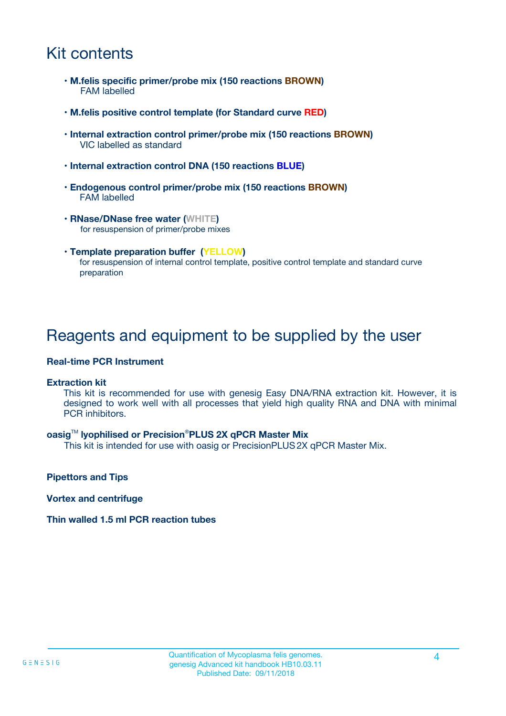### Kit contents

- **M.felis specific primer/probe mix (150 reactions BROWN)** FAM labelled
- **M.felis positive control template (for Standard curve RED)**
- **Internal extraction control primer/probe mix (150 reactions BROWN)** VIC labelled as standard
- **Internal extraction control DNA (150 reactions BLUE)**
- **Endogenous control primer/probe mix (150 reactions BROWN)** FAM labelled
- **RNase/DNase free water (WHITE)** for resuspension of primer/probe mixes
- **Template preparation buffer (YELLOW)** for resuspension of internal control template, positive control template and standard curve preparation

### Reagents and equipment to be supplied by the user

#### **Real-time PCR Instrument**

#### **Extraction kit**

This kit is recommended for use with genesig Easy DNA/RNA extraction kit. However, it is designed to work well with all processes that yield high quality RNA and DNA with minimal PCR inhibitors.

#### **oasig**TM **lyophilised or Precision**®**PLUS 2X qPCR Master Mix**

This kit is intended for use with oasig or PrecisionPLUS2X qPCR Master Mix.

**Pipettors and Tips**

**Vortex and centrifuge**

#### **Thin walled 1.5 ml PCR reaction tubes**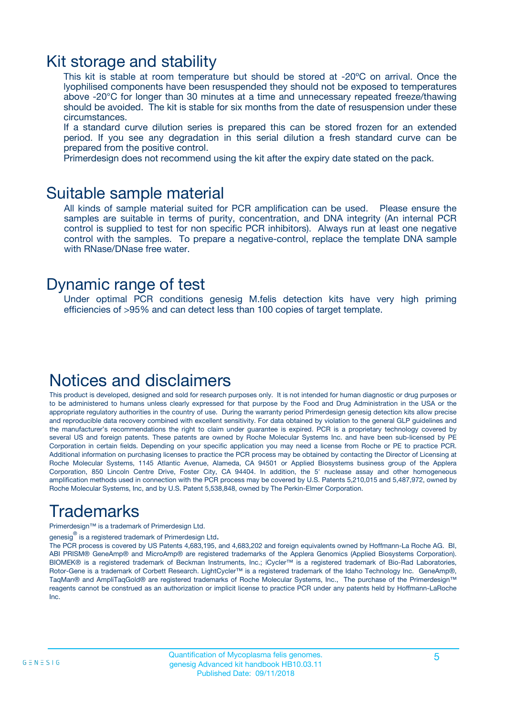### Kit storage and stability

This kit is stable at room temperature but should be stored at -20ºC on arrival. Once the lyophilised components have been resuspended they should not be exposed to temperatures above -20°C for longer than 30 minutes at a time and unnecessary repeated freeze/thawing should be avoided. The kit is stable for six months from the date of resuspension under these circumstances.

If a standard curve dilution series is prepared this can be stored frozen for an extended period. If you see any degradation in this serial dilution a fresh standard curve can be prepared from the positive control.

Primerdesign does not recommend using the kit after the expiry date stated on the pack.

### Suitable sample material

All kinds of sample material suited for PCR amplification can be used. Please ensure the samples are suitable in terms of purity, concentration, and DNA integrity (An internal PCR control is supplied to test for non specific PCR inhibitors). Always run at least one negative control with the samples. To prepare a negative-control, replace the template DNA sample with RNase/DNase free water.

### Dynamic range of test

Under optimal PCR conditions genesig M.felis detection kits have very high priming efficiencies of >95% and can detect less than 100 copies of target template.

### Notices and disclaimers

This product is developed, designed and sold for research purposes only. It is not intended for human diagnostic or drug purposes or to be administered to humans unless clearly expressed for that purpose by the Food and Drug Administration in the USA or the appropriate regulatory authorities in the country of use. During the warranty period Primerdesign genesig detection kits allow precise and reproducible data recovery combined with excellent sensitivity. For data obtained by violation to the general GLP guidelines and the manufacturer's recommendations the right to claim under guarantee is expired. PCR is a proprietary technology covered by several US and foreign patents. These patents are owned by Roche Molecular Systems Inc. and have been sub-licensed by PE Corporation in certain fields. Depending on your specific application you may need a license from Roche or PE to practice PCR. Additional information on purchasing licenses to practice the PCR process may be obtained by contacting the Director of Licensing at Roche Molecular Systems, 1145 Atlantic Avenue, Alameda, CA 94501 or Applied Biosystems business group of the Applera Corporation, 850 Lincoln Centre Drive, Foster City, CA 94404. In addition, the 5' nuclease assay and other homogeneous amplification methods used in connection with the PCR process may be covered by U.S. Patents 5,210,015 and 5,487,972, owned by Roche Molecular Systems, Inc, and by U.S. Patent 5,538,848, owned by The Perkin-Elmer Corporation.

## Trademarks

Primerdesign™ is a trademark of Primerdesign Ltd.

genesig $^\circledR$  is a registered trademark of Primerdesign Ltd.

The PCR process is covered by US Patents 4,683,195, and 4,683,202 and foreign equivalents owned by Hoffmann-La Roche AG. BI, ABI PRISM® GeneAmp® and MicroAmp® are registered trademarks of the Applera Genomics (Applied Biosystems Corporation). BIOMEK® is a registered trademark of Beckman Instruments, Inc.; iCycler™ is a registered trademark of Bio-Rad Laboratories, Rotor-Gene is a trademark of Corbett Research. LightCycler™ is a registered trademark of the Idaho Technology Inc. GeneAmp®, TaqMan® and AmpliTaqGold® are registered trademarks of Roche Molecular Systems, Inc., The purchase of the Primerdesign™ reagents cannot be construed as an authorization or implicit license to practice PCR under any patents held by Hoffmann-LaRoche Inc.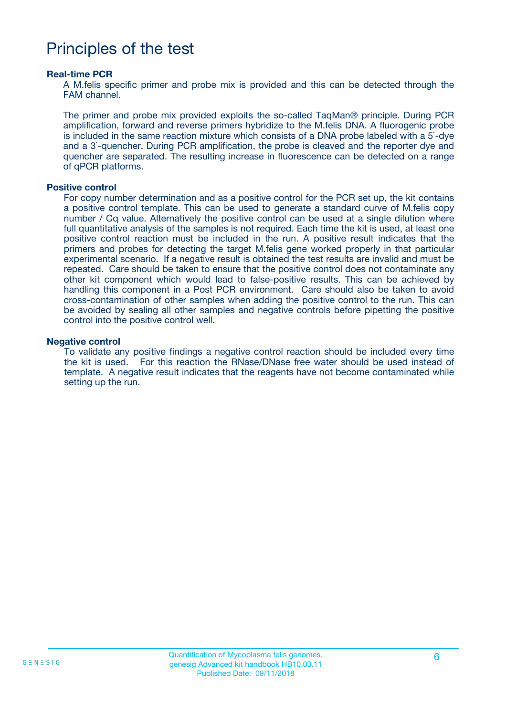### Principles of the test

#### **Real-time PCR**

A M.felis specific primer and probe mix is provided and this can be detected through the FAM channel.

The primer and probe mix provided exploits the so-called TaqMan® principle. During PCR amplification, forward and reverse primers hybridize to the M.felis DNA. A fluorogenic probe is included in the same reaction mixture which consists of a DNA probe labeled with a 5`-dye and a 3`-quencher. During PCR amplification, the probe is cleaved and the reporter dye and quencher are separated. The resulting increase in fluorescence can be detected on a range of qPCR platforms.

#### **Positive control**

For copy number determination and as a positive control for the PCR set up, the kit contains a positive control template. This can be used to generate a standard curve of M.felis copy number / Cq value. Alternatively the positive control can be used at a single dilution where full quantitative analysis of the samples is not required. Each time the kit is used, at least one positive control reaction must be included in the run. A positive result indicates that the primers and probes for detecting the target M.felis gene worked properly in that particular experimental scenario. If a negative result is obtained the test results are invalid and must be repeated. Care should be taken to ensure that the positive control does not contaminate any other kit component which would lead to false-positive results. This can be achieved by handling this component in a Post PCR environment. Care should also be taken to avoid cross-contamination of other samples when adding the positive control to the run. This can be avoided by sealing all other samples and negative controls before pipetting the positive control into the positive control well.

#### **Negative control**

To validate any positive findings a negative control reaction should be included every time the kit is used. For this reaction the RNase/DNase free water should be used instead of template. A negative result indicates that the reagents have not become contaminated while setting up the run.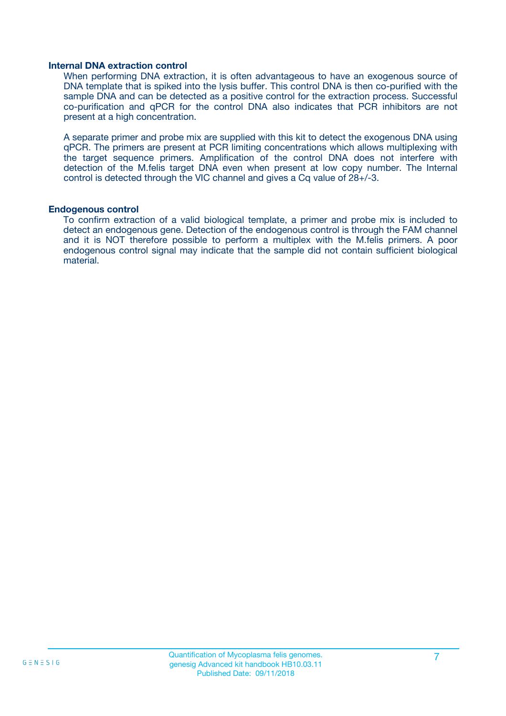#### **Internal DNA extraction control**

When performing DNA extraction, it is often advantageous to have an exogenous source of DNA template that is spiked into the lysis buffer. This control DNA is then co-purified with the sample DNA and can be detected as a positive control for the extraction process. Successful co-purification and qPCR for the control DNA also indicates that PCR inhibitors are not present at a high concentration.

A separate primer and probe mix are supplied with this kit to detect the exogenous DNA using qPCR. The primers are present at PCR limiting concentrations which allows multiplexing with the target sequence primers. Amplification of the control DNA does not interfere with detection of the M.felis target DNA even when present at low copy number. The Internal control is detected through the VIC channel and gives a Cq value of 28+/-3.

#### **Endogenous control**

To confirm extraction of a valid biological template, a primer and probe mix is included to detect an endogenous gene. Detection of the endogenous control is through the FAM channel and it is NOT therefore possible to perform a multiplex with the M.felis primers. A poor endogenous control signal may indicate that the sample did not contain sufficient biological material.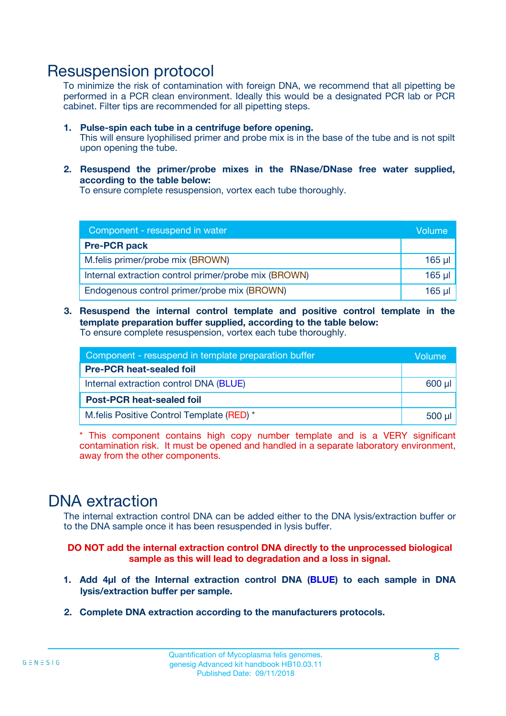### Resuspension protocol

To minimize the risk of contamination with foreign DNA, we recommend that all pipetting be performed in a PCR clean environment. Ideally this would be a designated PCR lab or PCR cabinet. Filter tips are recommended for all pipetting steps.

- **1. Pulse-spin each tube in a centrifuge before opening.** This will ensure lyophilised primer and probe mix is in the base of the tube and is not spilt upon opening the tube.
- **2. Resuspend the primer/probe mixes in the RNase/DNase free water supplied, according to the table below:**

To ensure complete resuspension, vortex each tube thoroughly.

| Component - resuspend in water                       |          |  |
|------------------------------------------------------|----------|--|
| <b>Pre-PCR pack</b>                                  |          |  |
| M.felis primer/probe mix (BROWN)                     | $165$ µl |  |
| Internal extraction control primer/probe mix (BROWN) | $165$ µl |  |
| Endogenous control primer/probe mix (BROWN)          | 165 µl   |  |

**3. Resuspend the internal control template and positive control template in the template preparation buffer supplied, according to the table below:** To ensure complete resuspension, vortex each tube thoroughly.

| Component - resuspend in template preparation buffer |  |  |  |
|------------------------------------------------------|--|--|--|
| <b>Pre-PCR heat-sealed foil</b>                      |  |  |  |
| Internal extraction control DNA (BLUE)               |  |  |  |
| <b>Post-PCR heat-sealed foil</b>                     |  |  |  |
| M. felis Positive Control Template (RED) *           |  |  |  |

\* This component contains high copy number template and is a VERY significant contamination risk. It must be opened and handled in a separate laboratory environment, away from the other components.

### DNA extraction

The internal extraction control DNA can be added either to the DNA lysis/extraction buffer or to the DNA sample once it has been resuspended in lysis buffer.

**DO NOT add the internal extraction control DNA directly to the unprocessed biological sample as this will lead to degradation and a loss in signal.**

- **1. Add 4µl of the Internal extraction control DNA (BLUE) to each sample in DNA lysis/extraction buffer per sample.**
- **2. Complete DNA extraction according to the manufacturers protocols.**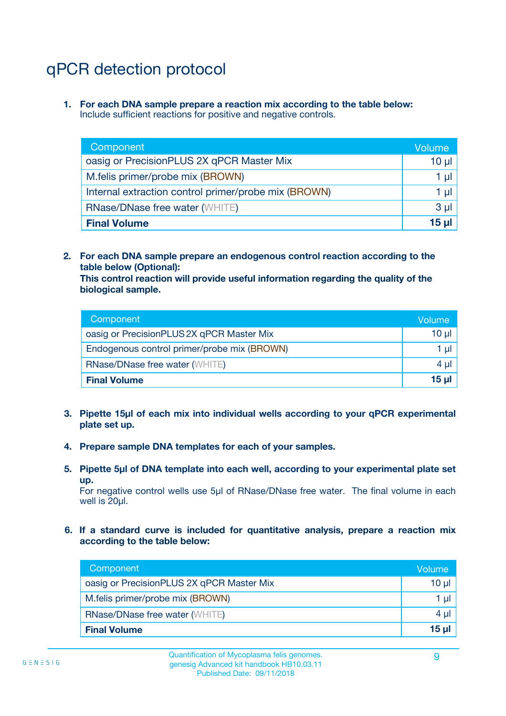# qPCR detection protocol

**1. For each DNA sample prepare a reaction mix according to the table below:** Include sufficient reactions for positive and negative controls.

| Component                                            | Volume   |
|------------------------------------------------------|----------|
| oasig or PrecisionPLUS 2X qPCR Master Mix            | $10 \mu$ |
| M.felis primer/probe mix (BROWN)                     | 1 µI     |
| Internal extraction control primer/probe mix (BROWN) | 1 µl     |
| <b>RNase/DNase free water (WHITE)</b>                | $3 \mu$  |
| <b>Final Volume</b>                                  | 15 µl    |

**2. For each DNA sample prepare an endogenous control reaction according to the table below (Optional):**

**This control reaction will provide useful information regarding the quality of the biological sample.**

| Component                                   | Volume   |
|---------------------------------------------|----------|
| oasig or PrecisionPLUS 2X qPCR Master Mix   | $10 \mu$ |
| Endogenous control primer/probe mix (BROWN) | 1 µI     |
| <b>RNase/DNase free water (WHITE)</b>       | $4 \mu$  |
| <b>Final Volume</b>                         | 15 µl    |

- **3. Pipette 15µl of each mix into individual wells according to your qPCR experimental plate set up.**
- **4. Prepare sample DNA templates for each of your samples.**
- **5. Pipette 5µl of DNA template into each well, according to your experimental plate set up.**

For negative control wells use 5µl of RNase/DNase free water. The final volume in each well is 20ul.

**6. If a standard curve is included for quantitative analysis, prepare a reaction mix according to the table below:**

| Component                                 | Volume   |
|-------------------------------------------|----------|
| oasig or PrecisionPLUS 2X qPCR Master Mix | 10 µl    |
| M.felis primer/probe mix (BROWN)          | 1 µI     |
| <b>RNase/DNase free water (WHITE)</b>     | $4 \mu$  |
| <b>Final Volume</b>                       | $15 \mu$ |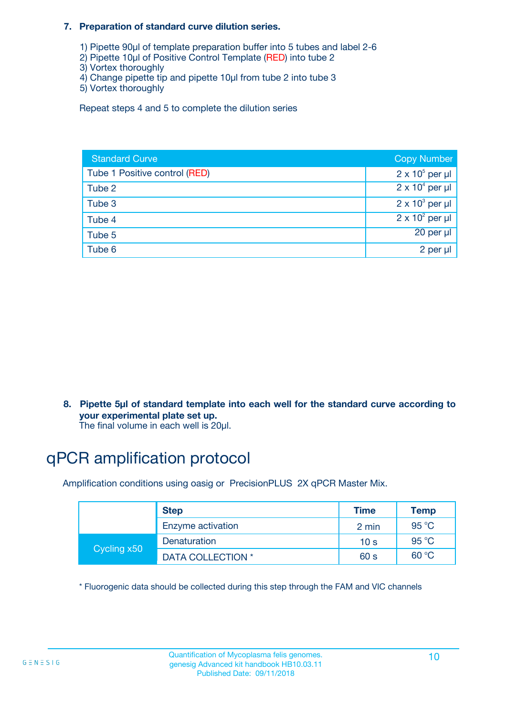#### **7. Preparation of standard curve dilution series.**

- 1) Pipette 90µl of template preparation buffer into 5 tubes and label 2-6
- 2) Pipette 10µl of Positive Control Template (RED) into tube 2
- 3) Vortex thoroughly
- 4) Change pipette tip and pipette 10µl from tube 2 into tube 3
- 5) Vortex thoroughly

Repeat steps 4 and 5 to complete the dilution series

| <b>Standard Curve</b>         | <b>Copy Number</b>     |
|-------------------------------|------------------------|
| Tube 1 Positive control (RED) | $2 \times 10^5$ per µl |
| Tube 2                        | $2 \times 10^4$ per µl |
| Tube 3                        | $2 \times 10^3$ per µl |
| Tube 4                        | $2 \times 10^2$ per µl |
| Tube 5                        | 20 per µl              |
| Tube 6                        | 2 per µl               |

**8. Pipette 5µl of standard template into each well for the standard curve according to your experimental plate set up.**

#### The final volume in each well is 20µl.

## qPCR amplification protocol

Amplification conditions using oasig or PrecisionPLUS 2X qPCR Master Mix.

|             | <b>Step</b>       | <b>Time</b>     | Temp    |
|-------------|-------------------|-----------------|---------|
|             | Enzyme activation | 2 min           | 95 °C   |
| Cycling x50 | Denaturation      | 10 <sub>s</sub> | 95 $°C$ |
|             | DATA COLLECTION * | 60 s            | 60 °C   |

\* Fluorogenic data should be collected during this step through the FAM and VIC channels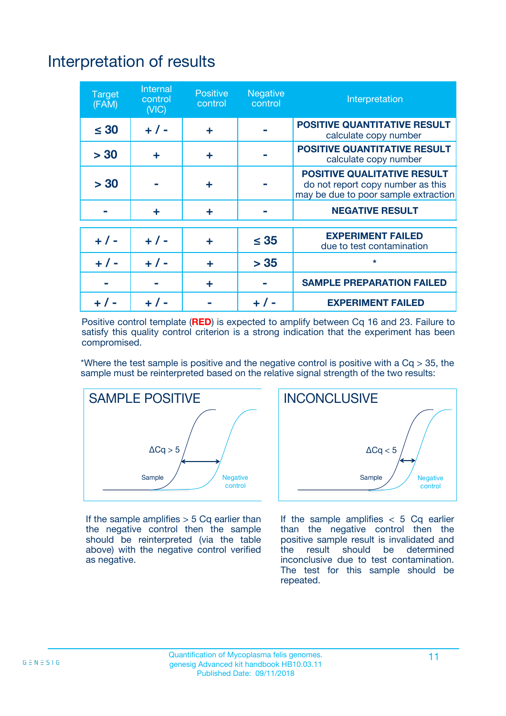# Interpretation of results

| <b>Target</b><br>(FAM) | <b>Internal</b><br>control<br>(NIC) | <b>Positive</b><br>control | <b>Negative</b><br>control | Interpretation                                                                                                  |
|------------------------|-------------------------------------|----------------------------|----------------------------|-----------------------------------------------------------------------------------------------------------------|
| $\leq 30$              | $+ 1 -$                             | ÷                          |                            | <b>POSITIVE QUANTITATIVE RESULT</b><br>calculate copy number                                                    |
| > 30                   | ٠                                   | ÷                          |                            | <b>POSITIVE QUANTITATIVE RESULT</b><br>calculate copy number                                                    |
| > 30                   |                                     | ÷                          |                            | <b>POSITIVE QUALITATIVE RESULT</b><br>do not report copy number as this<br>may be due to poor sample extraction |
|                        | ÷                                   | ÷                          |                            | <b>NEGATIVE RESULT</b>                                                                                          |
| $+ 1 -$                | $+ 1 -$                             | ÷                          | $\leq$ 35                  | <b>EXPERIMENT FAILED</b><br>due to test contamination                                                           |
| $+$ / -                | $+ 1 -$                             | ÷                          | > 35                       | $\star$                                                                                                         |
|                        |                                     | ÷                          |                            | <b>SAMPLE PREPARATION FAILED</b>                                                                                |
|                        |                                     |                            | $+$ /                      | <b>EXPERIMENT FAILED</b>                                                                                        |

Positive control template (**RED**) is expected to amplify between Cq 16 and 23. Failure to satisfy this quality control criterion is a strong indication that the experiment has been compromised.

\*Where the test sample is positive and the negative control is positive with a  $Ca > 35$ , the sample must be reinterpreted based on the relative signal strength of the two results:



If the sample amplifies  $> 5$  Cq earlier than the negative control then the sample should be reinterpreted (via the table above) with the negative control verified as negative.



If the sample amplifies  $< 5$  Cq earlier than the negative control then the positive sample result is invalidated and<br>the result should be determined  $the$  result should be inconclusive due to test contamination. The test for this sample should be repeated.